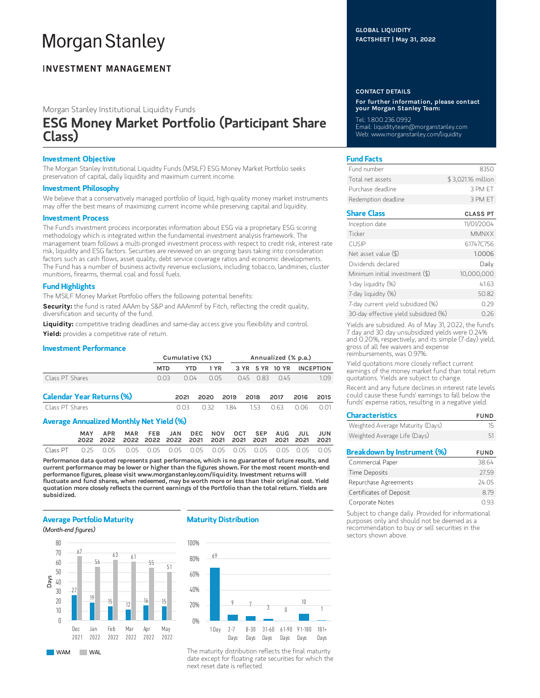# **Morgan Stanley**

## **INVESTMENT MANAGEMENT**

Morgan Stanley Institutional Liquidity Funds

## ESG Money Market Portfolio (Participant Share Class)

## Investment Objective

The Morgan Stanley Institutional Liquidity Funds (MSILF) ESG Money Market Portfolio seeks preservation of capital, daily liquidity and maximum current income.

## Investment Philosophy

We believe that a conservatively managed portfolio of liquid, high-quality money market instruments may offer the best means of maximizing current income while preserving capital and liquidity.

## Investment Process

The Fund's investment process incorporates information about ESG via a proprietary ESG scoring methodology which is integrated within the fundamental investment analysis framework. The management team follows a multi-pronged investment process with respect to credit risk, interest rate risk, liquidity and ESG factors. Securities are reviewed on an ongoing basis taking into consideration factors such as cash flows, asset quality, debt service coverage ratios and economic developments. The Fund has a number of business activity revenue exclusions, including tobacco, landmines, cluster munitions, firearms, thermal coal and fossil fuels.

## Fund Highlights

The MSILF Money Market Portfolio offers the following potential benefits:

Security: the fund is rated AAAm by S&P and AAAmmf by Fitch, reflecting the credit quality, diversification and security of the fund.

Liquidity: competitive trading deadlines and same-day access give you flexibility and control. Yield: provides a competitive rate of return.

## Investment Performance

|                                          | Cumulative (%) |      |      |      | Annualized (% p.a.) |      |                 |      |                  |  |
|------------------------------------------|----------------|------|------|------|---------------------|------|-----------------|------|------------------|--|
|                                          | <b>MTD</b>     | YTD  | 1 YR |      |                     |      | 3 YR 5 YR 10 YR |      | <b>INCEPTION</b> |  |
| Class PT Shares                          | 0.03           | 0.04 | 0.05 |      | 045                 | O 83 | 0.45            |      | 1.09             |  |
| <b>Calendar Year Returns (%)</b>         |                | 2021 | 2020 | 2019 |                     | 2018 | 2017            | 2016 | 2015             |  |
| Class PT Shares                          |                | 0.03 | 0.32 | 184  |                     | 153  | 0.63            | 0.06 | 0.01             |  |
| Average Annualized Monthly Net Yield (%) |                |      |      |      |                     |      |                 |      |                  |  |

|          | <b>MAY</b> | APR                                                              | MAR FEB JAN DEC NOV OCT SEP AUG JUL JUN |  |  |  |  |  |
|----------|------------|------------------------------------------------------------------|-----------------------------------------|--|--|--|--|--|
|          |            |                                                                  |                                         |  |  |  |  |  |
| Class PT |            | 0.25  0.05  0.05  0.05  0.05  0.05  0.05  0.05  0.05  0.05  0.05 |                                         |  |  |  |  |  |

Performance data quoted represents past performance, which is no guarantee of future results, and current performance may be lower or higher than the figures shown. For the most recent month-end performance figures, please visit www.morganstanley.com/liquidity. Investment returns will fluctuate and fund shares, when redeemed, may be worth more or less than their original cost. Yield quotation more closely reflects the current earnings of the Portfolio than the total return. Yields are subsidized.

## Average Portfolio Maturity

#### (Month-end figures)



WAM WAL

## Maturity Distribution



The maturity distribution reflects the final maturity date except for floating rate securities for which the next reset date is reflected.

## GLOBAL LIQUIDITY FACTSHEET | May 31, 2022

### CONTACT DETAILS

For further information, please contact your Morgan Stanley Team:

Tel: 1.800.236.0992

Email: liquidityteam@morganstanley.com Web: www.morganstanley.com/liquidity

## Fund Facts

| Fund number         | 8350               |
|---------------------|--------------------|
| Total net assets    | \$3,021.16 million |
| Purchase deadline   | 3 PM FT            |
| Redemption deadline | 3 PM FT            |

## Share Class CLASS PT

| Inception date                        | 11/01/2004   |
|---------------------------------------|--------------|
| Ticker                                | <b>MMNXX</b> |
| <b>CUSIP</b>                          | 61747C756    |
| Net asset value $(\$)$                | 1.0006       |
| Dividends declared                    | Daily        |
| Minimum initial investment (\$)       | 10,000,000   |
| 1-day liquidity (%)                   | 41.63        |
| 7-day liquidity (%)                   | 50.82        |
| 7-day current yield subsidized (%)    | 0.29         |
| 30-day effective yield subsidized (%) | 026          |

Yields are subsidized. As of May 31, 2022, the fund's 7 day and 30 day unsubsidized yields were 0.24% and 0.20%, respectively, and its simple (7-day) yield, gross of all fee waivers and expense reimbursements, was 0.97%.

Yield quotations more closely reflect current earnings of the money market fund than total return quotations. Yields are subject to change.

Recent and any future declines in interest rate levels could cause these funds' earnings to fall below the funds' expense ratios, resulting in a negative yield.

| <b>Characteristics</b>             | <b>FUND</b> |
|------------------------------------|-------------|
| Weighted Average Maturity (Days)   | 15          |
| Weighted Average Life (Days)       | 51          |
| <b>Breakdown by Instrument (%)</b> | <b>FUND</b> |
| Commercial Paper                   | 38.64       |
|                                    |             |
| <b>Time Deposits</b>               | 2759        |
| Repurchase Agreements              | 24.05       |

Certificates of Deposit 8.79 Corporate Notes 0.93 Subject to change daily. Provided for informational

purposes only and should not be deemed as a recommendation to buy or sell securities in the sectors shown above.